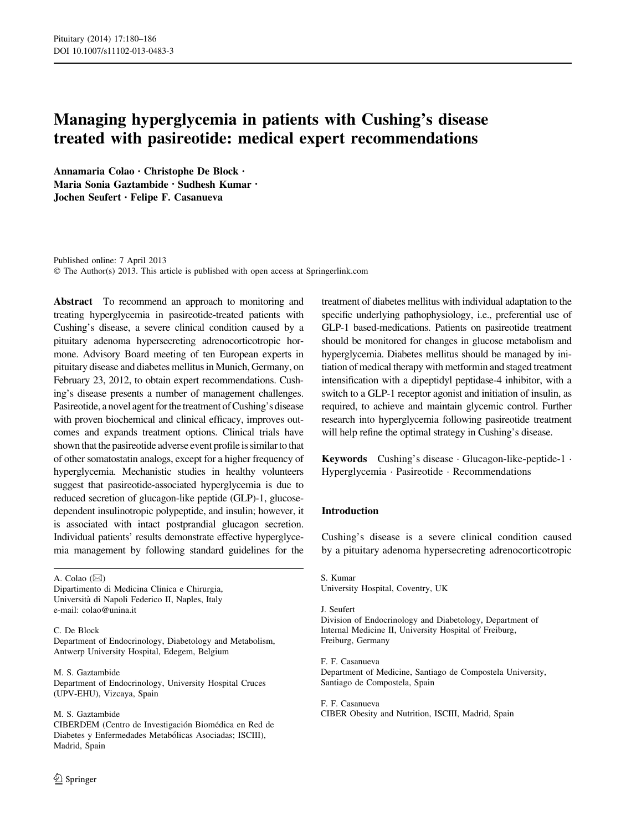# Managing hyperglycemia in patients with Cushing's disease treated with pasireotide: medical expert recommendations

Annamaria Colao • Christophe De Block • Maria Sonia Gaztambide • Sudhesh Kumar • Jochen Seufert • Felipe F. Casanueva

Published online: 7 April 2013 © The Author(s) 2013. This article is published with open access at Springerlink.com

Abstract To recommend an approach to monitoring and treating hyperglycemia in pasireotide-treated patients with Cushing's disease, a severe clinical condition caused by a pituitary adenoma hypersecreting adrenocorticotropic hormone. Advisory Board meeting of ten European experts in pituitary disease and diabetes mellitus in Munich, Germany, on February 23, 2012, to obtain expert recommendations. Cushing's disease presents a number of management challenges. Pasireotide, a novel agent for the treatment of Cushing's disease with proven biochemical and clinical efficacy, improves outcomes and expands treatment options. Clinical trials have shown that the pasireotide adverse event profile is similar to that of other somatostatin analogs, except for a higher frequency of hyperglycemia. Mechanistic studies in healthy volunteers suggest that pasireotide-associated hyperglycemia is due to reduced secretion of glucagon-like peptide (GLP)-1, glucosedependent insulinotropic polypeptide, and insulin; however, it is associated with intact postprandial glucagon secretion. Individual patients' results demonstrate effective hyperglycemia management by following standard guidelines for the

A. Colao  $(\boxtimes)$ 

Dipartimento di Medicina Clinica e Chirurgia, Universita` di Napoli Federico II, Naples, Italy e-mail: colao@unina.it

## C. De Block

Department of Endocrinology, Diabetology and Metabolism, Antwerp University Hospital, Edegem, Belgium

M. S. Gaztambide Department of Endocrinology, University Hospital Cruces (UPV-EHU), Vizcaya, Spain

### M. S. Gaztambide

CIBERDEM (Centro de Investigación Biomédica en Red de Diabetes y Enfermedades Metabólicas Asociadas; ISCIII), Madrid, Spain

treatment of diabetes mellitus with individual adaptation to the specific underlying pathophysiology, i.e., preferential use of GLP-1 based-medications. Patients on pasireotide treatment should be monitored for changes in glucose metabolism and hyperglycemia. Diabetes mellitus should be managed by initiation of medical therapy with metformin and staged treatment intensification with a dipeptidyl peptidase-4 inhibitor, with a switch to a GLP-1 receptor agonist and initiation of insulin, as required, to achieve and maintain glycemic control. Further research into hyperglycemia following pasireotide treatment will help refine the optimal strategy in Cushing's disease.

Keywords Cushing's disease - Glucagon-like-peptide-1 - Hyperglycemia - Pasireotide - Recommendations

# Introduction

Cushing's disease is a severe clinical condition caused by a pituitary adenoma hypersecreting adrenocorticotropic

S. Kumar University Hospital, Coventry, UK

J. Seufert

Division of Endocrinology and Diabetology, Department of Internal Medicine II, University Hospital of Freiburg, Freiburg, Germany

F. F. Casanueva Department of Medicine, Santiago de Compostela University, Santiago de Compostela, Spain

F. F. Casanueva CIBER Obesity and Nutrition, ISCIII, Madrid, Spain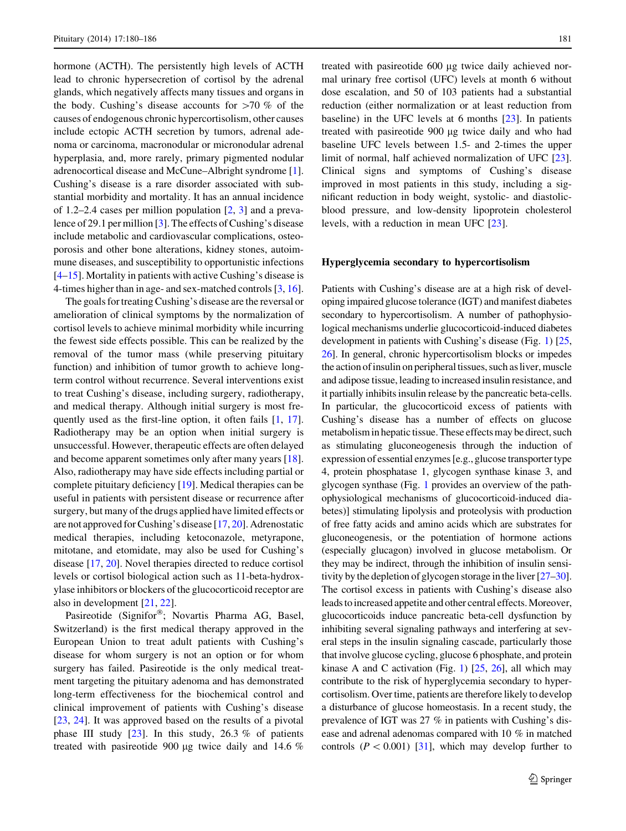hormone (ACTH). The persistently high levels of ACTH lead to chronic hypersecretion of cortisol by the adrenal glands, which negatively affects many tissues and organs in the body. Cushing's disease accounts for  $>70\%$  of the causes of endogenous chronic hypercortisolism, other causes include ectopic ACTH secretion by tumors, adrenal adenoma or carcinoma, macronodular or micronodular adrenal hyperplasia, and, more rarely, primary pigmented nodular adrenocortical disease and McCune–Albright syndrome [\[1](#page-5-0)]. Cushing's disease is a rare disorder associated with substantial morbidity and mortality. It has an annual incidence of 1.2–2.4 cases per million population [[2,](#page-5-0) [3](#page-5-0)] and a prevalence of 29.1 per million [[3\]](#page-5-0). The effects of Cushing's disease include metabolic and cardiovascular complications, osteoporosis and other bone alterations, kidney stones, autoimmune diseases, and susceptibility to opportunistic infections [\[4–15](#page-5-0)]. Mortality in patients with active Cushing's disease is 4-times higher than in age- and sex-matched controls [\[3](#page-5-0), [16](#page-5-0)].

The goals for treating Cushing's disease are the reversal or amelioration of clinical symptoms by the normalization of cortisol levels to achieve minimal morbidity while incurring the fewest side effects possible. This can be realized by the removal of the tumor mass (while preserving pituitary function) and inhibition of tumor growth to achieve longterm control without recurrence. Several interventions exist to treat Cushing's disease, including surgery, radiotherapy, and medical therapy. Although initial surgery is most frequently used as the first-line option, it often fails [\[1](#page-5-0), [17](#page-5-0)]. Radiotherapy may be an option when initial surgery is unsuccessful. However, therapeutic effects are often delayed and become apparent sometimes only after many years [\[18](#page-5-0)]. Also, radiotherapy may have side effects including partial or complete pituitary deficiency [[19\]](#page-5-0). Medical therapies can be useful in patients with persistent disease or recurrence after surgery, but many of the drugs applied have limited effects or are not approved for Cushing's disease [[17,](#page-5-0) [20\]](#page-5-0). Adrenostatic medical therapies, including ketoconazole, metyrapone, mitotane, and etomidate, may also be used for Cushing's disease [[17,](#page-5-0) [20\]](#page-5-0). Novel therapies directed to reduce cortisol levels or cortisol biological action such as 11-beta-hydroxylase inhibitors or blockers of the glucocorticoid receptor are also in development [[21,](#page-6-0) [22](#page-6-0)].

Pasireotide (Signifor®; Novartis Pharma AG, Basel, Switzerland) is the first medical therapy approved in the European Union to treat adult patients with Cushing's disease for whom surgery is not an option or for whom surgery has failed. Pasireotide is the only medical treatment targeting the pituitary adenoma and has demonstrated long-term effectiveness for the biochemical control and clinical improvement of patients with Cushing's disease [\[23](#page-6-0), [24](#page-6-0)]. It was approved based on the results of a pivotal phase III study  $[23]$  $[23]$ . In this study, 26.3 % of patients treated with pasireotide 900  $\mu$ g twice daily and 14.6 % treated with pasireotide 600 ug twice daily achieved normal urinary free cortisol (UFC) levels at month 6 without dose escalation, and 50 of 103 patients had a substantial reduction (either normalization or at least reduction from baseline) in the UFC levels at 6 months [\[23](#page-6-0)]. In patients treated with pasireotide 900 µg twice daily and who had baseline UFC levels between 1.5- and 2-times the upper limit of normal, half achieved normalization of UFC [\[23](#page-6-0)]. Clinical signs and symptoms of Cushing's disease improved in most patients in this study, including a significant reduction in body weight, systolic- and diastolicblood pressure, and low-density lipoprotein cholesterol levels, with a reduction in mean UFC [[23\]](#page-6-0).

# Hyperglycemia secondary to hypercortisolism

Patients with Cushing's disease are at a high risk of developing impaired glucose tolerance (IGT) and manifest diabetes secondary to hypercortisolism. A number of pathophysiological mechanisms underlie glucocorticoid-induced diabetes development in patients with Cushing's disease (Fig. [1\)](#page-2-0) [\[25,](#page-6-0) [26\]](#page-6-0). In general, chronic hypercortisolism blocks or impedes the action of insulin on peripheral tissues, such as liver, muscle and adipose tissue, leading to increased insulin resistance, and it partially inhibits insulin release by the pancreatic beta-cells. In particular, the glucocorticoid excess of patients with Cushing's disease has a number of effects on glucose metabolism in hepatic tissue. These effects may be direct, such as stimulating gluconeogenesis through the induction of expression of essential enzymes [e.g., glucose transporter type 4, protein phosphatase 1, glycogen synthase kinase 3, and glycogen synthase (Fig. [1](#page-2-0) provides an overview of the pathophysiological mechanisms of glucocorticoid-induced diabetes)] stimulating lipolysis and proteolysis with production of free fatty acids and amino acids which are substrates for gluconeogenesis, or the potentiation of hormone actions (especially glucagon) involved in glucose metabolism. Or they may be indirect, through the inhibition of insulin sensitivity by the depletion of glycogen storage in the liver [\[27–30\]](#page-6-0). The cortisol excess in patients with Cushing's disease also leads to increased appetite and other central effects. Moreover, glucocorticoids induce pancreatic beta-cell dysfunction by inhibiting several signaling pathways and interfering at several steps in the insulin signaling cascade, particularly those that involve glucose cycling, glucose 6 phosphate, and protein kinase A and C activation (Fig. [1\)](#page-2-0)  $[25, 26]$  $[25, 26]$  $[25, 26]$  $[25, 26]$  $[25, 26]$ , all which may contribute to the risk of hyperglycemia secondary to hypercortisolism. Over time, patients are therefore likely to develop a disturbance of glucose homeostasis. In a recent study, the prevalence of IGT was 27 % in patients with Cushing's disease and adrenal adenomas compared with 10 % in matched controls  $(P < 0.001)$  [\[31\]](#page-6-0), which may develop further to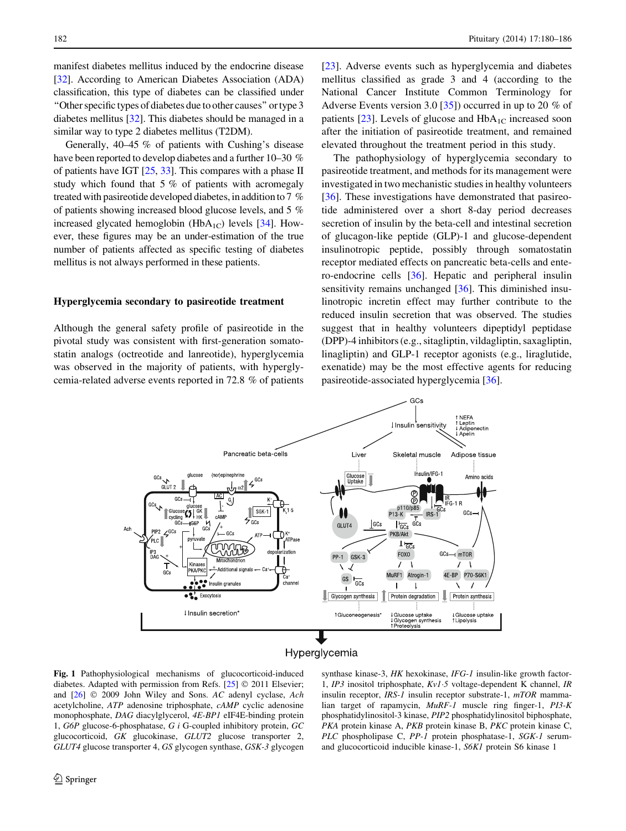<span id="page-2-0"></span>manifest diabetes mellitus induced by the endocrine disease [\[32](#page-6-0)]. According to American Diabetes Association (ADA) classification, this type of diabetes can be classified under ''Other specific types of diabetes due to other causes'' or type 3 diabetes mellitus [\[32\]](#page-6-0). This diabetes should be managed in a similar way to type 2 diabetes mellitus (T2DM).

Generally, 40–45 % of patients with Cushing's disease have been reported to develop diabetes and a further 10–30 % of patients have IGT  $[25, 33]$  $[25, 33]$  $[25, 33]$  $[25, 33]$ . This compares with a phase II study which found that 5 % of patients with acromegaly treated with pasireotide developed diabetes, in addition to 7 % of patients showing increased blood glucose levels, and 5 % increased glycated hemoglobin (HbA<sub>1C</sub>) levels [\[34](#page-6-0)]. However, these figures may be an under-estimation of the true number of patients affected as specific testing of diabetes mellitus is not always performed in these patients.

#### Hyperglycemia secondary to pasireotide treatment

Although the general safety profile of pasireotide in the pivotal study was consistent with first-generation somatostatin analogs (octreotide and lanreotide), hyperglycemia was observed in the majority of patients, with hyperglycemia-related adverse events reported in 72.8 % of patients

[\[23](#page-6-0)]. Adverse events such as hyperglycemia and diabetes mellitus classified as grade 3 and 4 (according to the National Cancer Institute Common Terminology for Adverse Events version 3.0 [[35\]](#page-6-0)) occurred in up to 20 % of patients  $[23]$  $[23]$ . Levels of glucose and  $HbA_{1C}$  increased soon after the initiation of pasireotide treatment, and remained elevated throughout the treatment period in this study.

The pathophysiology of hyperglycemia secondary to pasireotide treatment, and methods for its management were investigated in two mechanistic studies in healthy volunteers [\[36](#page-6-0)]. These investigations have demonstrated that pasireotide administered over a short 8-day period decreases secretion of insulin by the beta-cell and intestinal secretion of glucagon-like peptide (GLP)-1 and glucose-dependent insulinotropic peptide, possibly through somatostatin receptor mediated effects on pancreatic beta-cells and entero-endocrine cells [[36\]](#page-6-0). Hepatic and peripheral insulin sensitivity remains unchanged [[36\]](#page-6-0). This diminished insulinotropic incretin effect may further contribute to the reduced insulin secretion that was observed. The studies suggest that in healthy volunteers dipeptidyl peptidase (DPP)-4 inhibitors (e.g., sitagliptin, vildagliptin, saxagliptin, linagliptin) and GLP-1 receptor agonists (e.g., liraglutide, exenatide) may be the most effective agents for reducing pasireotide-associated hyperglycemia [[36](#page-6-0)].

GCs



# Hyperglycemia

Fig. 1 Pathophysiological mechanisms of glucocorticoid-induced diabetes. Adapted with permission from Refs.  $[25]$  $[25]$  $[25]$  © 2011 Elsevier; and  $[26]$   $\odot$  2009 John Wiley and Sons. AC adenyl cyclase, Ach acetylcholine, ATP adenosine triphosphate, cAMP cyclic adenosine monophosphate, DAG diacylglycerol, 4E-BP1 eIF4E-binding protein 1, G6P glucose-6-phosphatase, G i G-coupled inhibitory protein, GC glucocorticoid, GK glucokinase, GLUT2 glucose transporter 2, GLUT4 glucose transporter 4, GS glycogen synthase, GSK-3 glycogen synthase kinase-3, HK hexokinase, IFG-1 insulin-like growth factor-1, IP3 inositol triphosphate, Kv1-5 voltage-dependent K channel, IR insulin receptor, IRS-1 insulin receptor substrate-1,  $mTOR$  mammalian target of rapamycin, MuRF-1 muscle ring finger-1, PI3-K phosphatidylinositol-3 kinase, PIP2 phosphatidylinositol biphosphate, PKA protein kinase A, PKB protein kinase B, PKC protein kinase C, PLC phospholipase C, PP-1 protein phosphatase-1, SGK-1 serumand glucocorticoid inducible kinase-1, S6K1 protein S6 kinase 1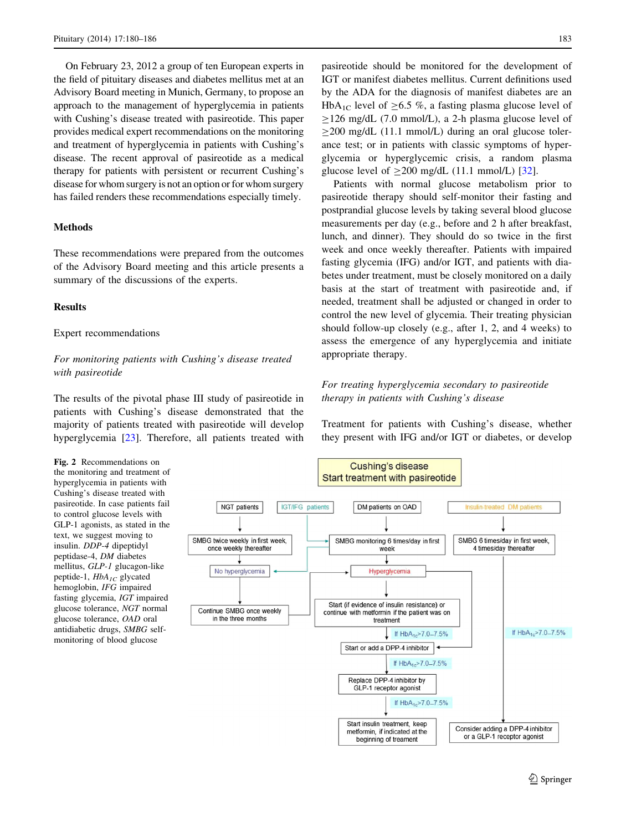<span id="page-3-0"></span>On February 23, 2012 a group of ten European experts in the field of pituitary diseases and diabetes mellitus met at an Advisory Board meeting in Munich, Germany, to propose an approach to the management of hyperglycemia in patients with Cushing's disease treated with pasireotide. This paper provides medical expert recommendations on the monitoring and treatment of hyperglycemia in patients with Cushing's disease. The recent approval of pasireotide as a medical therapy for patients with persistent or recurrent Cushing's disease for whom surgery is not an option or for whom surgery has failed renders these recommendations especially timely.

## Methods

These recommendations were prepared from the outcomes of the Advisory Board meeting and this article presents a summary of the discussions of the experts.

#### Results

#### Expert recommendations

# For monitoring patients with Cushing's disease treated with pasireotide

The results of the pivotal phase III study of pasireotide in patients with Cushing's disease demonstrated that the majority of patients treated with pasireotide will develop hyperglycemia [\[23](#page-6-0)]. Therefore, all patients treated with pasireotide should be monitored for the development of IGT or manifest diabetes mellitus. Current definitions used by the ADA for the diagnosis of manifest diabetes are an HbA<sub>1C</sub> level of  $\geq$ 6.5 %, a fasting plasma glucose level of  $>126$  mg/dL (7.0 mmol/L), a 2-h plasma glucose level of  $>200$  mg/dL (11.1 mmol/L) during an oral glucose tolerance test; or in patients with classic symptoms of hyperglycemia or hyperglycemic crisis, a random plasma glucose level of  $\geq$ 200 mg/dL (11.1 mmol/L) [[32\]](#page-6-0).

Patients with normal glucose metabolism prior to pasireotide therapy should self-monitor their fasting and postprandial glucose levels by taking several blood glucose measurements per day (e.g., before and 2 h after breakfast, lunch, and dinner). They should do so twice in the first week and once weekly thereafter. Patients with impaired fasting glycemia (IFG) and/or IGT, and patients with diabetes under treatment, must be closely monitored on a daily basis at the start of treatment with pasireotide and, if needed, treatment shall be adjusted or changed in order to control the new level of glycemia. Their treating physician should follow-up closely (e.g., after 1, 2, and 4 weeks) to assess the emergence of any hyperglycemia and initiate appropriate therapy.

# For treating hyperglycemia secondary to pasireotide therapy in patients with Cushing's disease

Treatment for patients with Cushing's disease, whether they present with IFG and/or IGT or diabetes, or develop

Fig. 2 Recommendations on the monitoring and treatment of hyperglycemia in patients with Cushing's disease treated with pasireotide. In case patients fail to control glucose levels with GLP-1 agonists, as stated in the text, we suggest moving to insulin. DDP-4 dipeptidyl peptidase-4, DM diabetes mellitus, GLP-1 glucagon-like peptide-1,  $HbA_{1C}$  glycated hemoglobin, IFG impaired fasting glycemia, IGT impaired glucose tolerance, NGT normal glucose tolerance, OAD oral antidiabetic drugs, SMBG selfmonitoring of blood glucose

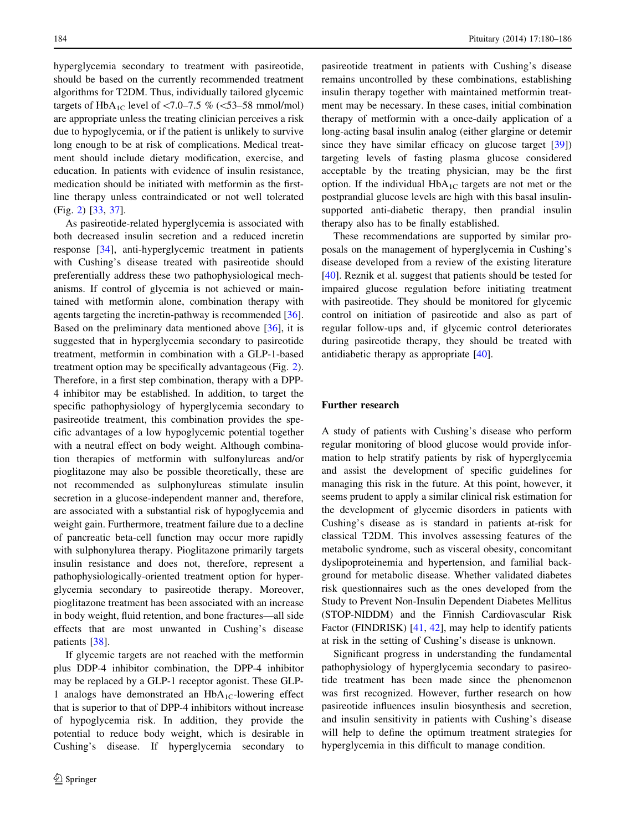hyperglycemia secondary to treatment with pasireotide, should be based on the currently recommended treatment algorithms for T2DM. Thus, individually tailored glycemic targets of HbA<sub>1C</sub> level of  $\langle7.0-7.5 \ \% \ (\langle53-58 \ mmol/mol\rangle)$ are appropriate unless the treating clinician perceives a risk due to hypoglycemia, or if the patient is unlikely to survive long enough to be at risk of complications. Medical treatment should include dietary modification, exercise, and education. In patients with evidence of insulin resistance, medication should be initiated with metformin as the firstline therapy unless contraindicated or not well tolerated (Fig. [2](#page-3-0)) [\[33](#page-6-0), [37](#page-6-0)].

As pasireotide-related hyperglycemia is associated with both decreased insulin secretion and a reduced incretin response [\[34](#page-6-0)], anti-hyperglycemic treatment in patients with Cushing's disease treated with pasireotide should preferentially address these two pathophysiological mechanisms. If control of glycemia is not achieved or maintained with metformin alone, combination therapy with agents targeting the incretin-pathway is recommended [\[36](#page-6-0)]. Based on the preliminary data mentioned above [\[36](#page-6-0)], it is suggested that in hyperglycemia secondary to pasireotide treatment, metformin in combination with a GLP-1-based treatment option may be specifically advantageous (Fig. [2](#page-3-0)). Therefore, in a first step combination, therapy with a DPP-4 inhibitor may be established. In addition, to target the specific pathophysiology of hyperglycemia secondary to pasireotide treatment, this combination provides the specific advantages of a low hypoglycemic potential together with a neutral effect on body weight. Although combination therapies of metformin with sulfonylureas and/or pioglitazone may also be possible theoretically, these are not recommended as sulphonylureas stimulate insulin secretion in a glucose-independent manner and, therefore, are associated with a substantial risk of hypoglycemia and weight gain. Furthermore, treatment failure due to a decline of pancreatic beta-cell function may occur more rapidly with sulphonylurea therapy. Pioglitazone primarily targets insulin resistance and does not, therefore, represent a pathophysiologically-oriented treatment option for hyperglycemia secondary to pasireotide therapy. Moreover, pioglitazone treatment has been associated with an increase in body weight, fluid retention, and bone fractures—all side effects that are most unwanted in Cushing's disease patients [[38\]](#page-6-0).

If glycemic targets are not reached with the metformin plus DDP-4 inhibitor combination, the DPP-4 inhibitor may be replaced by a GLP-1 receptor agonist. These GLP-1 analogs have demonstrated an  $HbA_{1C}$ -lowering effect that is superior to that of DPP-4 inhibitors without increase of hypoglycemia risk. In addition, they provide the potential to reduce body weight, which is desirable in Cushing's disease. If hyperglycemia secondary to pasireotide treatment in patients with Cushing's disease remains uncontrolled by these combinations, establishing insulin therapy together with maintained metformin treatment may be necessary. In these cases, initial combination therapy of metformin with a once-daily application of a long-acting basal insulin analog (either glargine or detemir since they have similar efficacy on glucose target [[39\]](#page-6-0)) targeting levels of fasting plasma glucose considered acceptable by the treating physician, may be the first option. If the individual  $HbA_{1C}$  targets are not met or the postprandial glucose levels are high with this basal insulinsupported anti-diabetic therapy, then prandial insulin therapy also has to be finally established.

These recommendations are supported by similar proposals on the management of hyperglycemia in Cushing's disease developed from a review of the existing literature [\[40](#page-6-0)]. Reznik et al. suggest that patients should be tested for impaired glucose regulation before initiating treatment with pasireotide. They should be monitored for glycemic control on initiation of pasireotide and also as part of regular follow-ups and, if glycemic control deteriorates during pasireotide therapy, they should be treated with antidiabetic therapy as appropriate [[40\]](#page-6-0).

# Further research

A study of patients with Cushing's disease who perform regular monitoring of blood glucose would provide information to help stratify patients by risk of hyperglycemia and assist the development of specific guidelines for managing this risk in the future. At this point, however, it seems prudent to apply a similar clinical risk estimation for the development of glycemic disorders in patients with Cushing's disease as is standard in patients at-risk for classical T2DM. This involves assessing features of the metabolic syndrome, such as visceral obesity, concomitant dyslipoproteinemia and hypertension, and familial background for metabolic disease. Whether validated diabetes risk questionnaires such as the ones developed from the Study to Prevent Non-Insulin Dependent Diabetes Mellitus (STOP-NIDDM) and the Finnish Cardiovascular Risk Factor (FINDRISK) [[41](#page-6-0), [42\]](#page-6-0), may help to identify patients at risk in the setting of Cushing's disease is unknown.

Significant progress in understanding the fundamental pathophysiology of hyperglycemia secondary to pasireotide treatment has been made since the phenomenon was first recognized. However, further research on how pasireotide influences insulin biosynthesis and secretion, and insulin sensitivity in patients with Cushing's disease will help to define the optimum treatment strategies for hyperglycemia in this difficult to manage condition.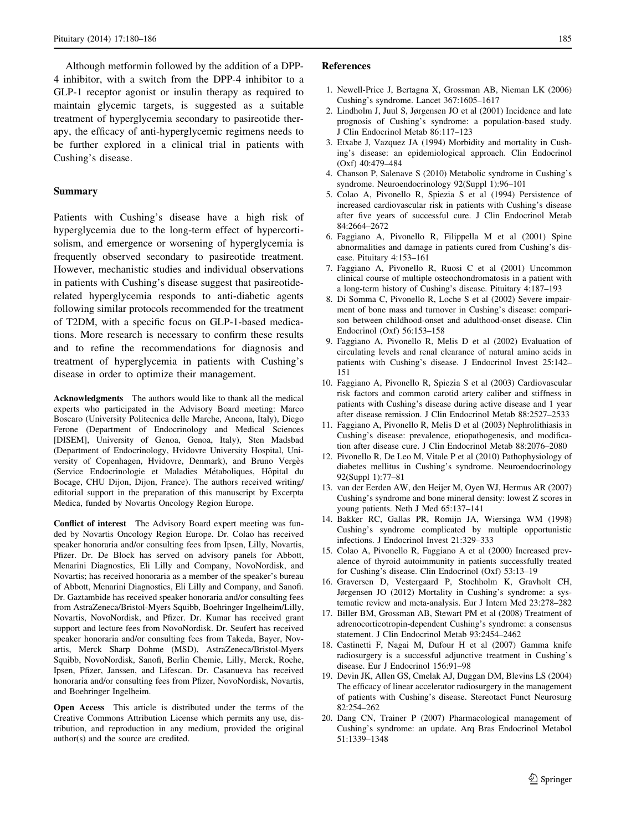<span id="page-5-0"></span>Although metformin followed by the addition of a DPP-4 inhibitor, with a switch from the DPP-4 inhibitor to a GLP-1 receptor agonist or insulin therapy as required to maintain glycemic targets, is suggested as a suitable treatment of hyperglycemia secondary to pasireotide therapy, the efficacy of anti-hyperglycemic regimens needs to be further explored in a clinical trial in patients with Cushing's disease.

#### Summary

Patients with Cushing's disease have a high risk of hyperglycemia due to the long-term effect of hypercortisolism, and emergence or worsening of hyperglycemia is frequently observed secondary to pasireotide treatment. However, mechanistic studies and individual observations in patients with Cushing's disease suggest that pasireotiderelated hyperglycemia responds to anti-diabetic agents following similar protocols recommended for the treatment of T2DM, with a specific focus on GLP-1-based medications. More research is necessary to confirm these results and to refine the recommendations for diagnosis and treatment of hyperglycemia in patients with Cushing's disease in order to optimize their management.

Acknowledgments The authors would like to thank all the medical experts who participated in the Advisory Board meeting: Marco Boscaro (University Politecnica delle Marche, Ancona, Italy), Diego Ferone (Department of Endocrinology and Medical Sciences [DISEM], University of Genoa, Genoa, Italy), Sten Madsbad (Department of Endocrinology, Hvidovre University Hospital, University of Copenhagen, Hvidovre, Denmark), and Bruno Vergès (Service Endocrinologie et Maladies Métaboliques, Hôpital du Bocage, CHU Dijon, Dijon, France). The authors received writing/ editorial support in the preparation of this manuscript by Excerpta Medica, funded by Novartis Oncology Region Europe.

Conflict of interest The Advisory Board expert meeting was funded by Novartis Oncology Region Europe. Dr. Colao has received speaker honoraria and/or consulting fees from Ipsen, Lilly, Novartis, Pfizer. Dr. De Block has served on advisory panels for Abbott, Menarini Diagnostics, Eli Lilly and Company, NovoNordisk, and Novartis; has received honoraria as a member of the speaker's bureau of Abbott, Menarini Diagnostics, Eli Lilly and Company, and Sanofi. Dr. Gaztambide has received speaker honoraria and/or consulting fees from AstraZeneca/Bristol-Myers Squibb, Boehringer Ingelheim/Lilly, Novartis, NovoNordisk, and Pfizer. Dr. Kumar has received grant support and lecture fees from NovoNordisk. Dr. Seufert has received speaker honoraria and/or consulting fees from Takeda, Bayer, Novartis, Merck Sharp Dohme (MSD), AstraZeneca/Bristol-Myers Squibb, NovoNordisk, Sanofi, Berlin Chemie, Lilly, Merck, Roche, Ipsen, Pfizer, Janssen, and Lifescan. Dr. Casanueva has received honoraria and/or consulting fees from Pfizer, NovoNordisk, Novartis, and Boehringer Ingelheim.

Open Access This article is distributed under the terms of the Creative Commons Attribution License which permits any use, distribution, and reproduction in any medium, provided the original author(s) and the source are credited.

#### References

- 1. Newell-Price J, Bertagna X, Grossman AB, Nieman LK (2006) Cushing's syndrome. Lancet 367:1605–1617
- 2. Lindholm J, Juul S, Jørgensen JO et al (2001) Incidence and late prognosis of Cushing's syndrome: a population-based study. J Clin Endocrinol Metab 86:117–123
- 3. Etxabe J, Vazquez JA (1994) Morbidity and mortality in Cushing's disease: an epidemiological approach. Clin Endocrinol (Oxf) 40:479–484
- 4. Chanson P, Salenave S (2010) Metabolic syndrome in Cushing's syndrome. Neuroendocrinology 92(Suppl 1):96–101
- 5. Colao A, Pivonello R, Spiezia S et al (1994) Persistence of increased cardiovascular risk in patients with Cushing's disease after five years of successful cure. J Clin Endocrinol Metab 84:2664–2672
- 6. Faggiano A, Pivonello R, Filippella M et al (2001) Spine abnormalities and damage in patients cured from Cushing's disease. Pituitary 4:153–161
- 7. Faggiano A, Pivonello R, Ruosi C et al (2001) Uncommon clinical course of multiple osteochondromatosis in a patient with a long-term history of Cushing's disease. Pituitary 4:187–193
- 8. Di Somma C, Pivonello R, Loche S et al (2002) Severe impairment of bone mass and turnover in Cushing's disease: comparison between childhood-onset and adulthood-onset disease. Clin Endocrinol (Oxf) 56:153–158
- 9. Faggiano A, Pivonello R, Melis D et al (2002) Evaluation of circulating levels and renal clearance of natural amino acids in patients with Cushing's disease. J Endocrinol Invest 25:142– 151
- 10. Faggiano A, Pivonello R, Spiezia S et al (2003) Cardiovascular risk factors and common carotid artery caliber and stiffness in patients with Cushing's disease during active disease and 1 year after disease remission. J Clin Endocrinol Metab 88:2527–2533
- 11. Faggiano A, Pivonello R, Melis D et al (2003) Nephrolithiasis in Cushing's disease: prevalence, etiopathogenesis, and modification after disease cure. J Clin Endocrinol Metab 88:2076–2080
- 12. Pivonello R, De Leo M, Vitale P et al (2010) Pathophysiology of diabetes mellitus in Cushing's syndrome. Neuroendocrinology 92(Suppl 1):77–81
- 13. van der Eerden AW, den Heijer M, Oyen WJ, Hermus AR (2007) Cushing's syndrome and bone mineral density: lowest Z scores in young patients. Neth J Med 65:137–141
- 14. Bakker RC, Gallas PR, Romijn JA, Wiersinga WM (1998) Cushing's syndrome complicated by multiple opportunistic infections. J Endocrinol Invest 21:329–333
- 15. Colao A, Pivonello R, Faggiano A et al (2000) Increased prevalence of thyroid autoimmunity in patients successfully treated for Cushing's disease. Clin Endocrinol (Oxf) 53:13–19
- 16. Graversen D, Vestergaard P, Stochholm K, Gravholt CH, Jørgensen JO (2012) Mortality in Cushing's syndrome: a systematic review and meta-analysis. Eur J Intern Med 23:278–282
- 17. Biller BM, Grossman AB, Stewart PM et al (2008) Treatment of adrenocorticotropin-dependent Cushing's syndrome: a consensus statement. J Clin Endocrinol Metab 93:2454–2462
- 18. Castinetti F, Nagai M, Dufour H et al (2007) Gamma knife radiosurgery is a successful adjunctive treatment in Cushing's disease. Eur J Endocrinol 156:91–98
- 19. Devin JK, Allen GS, Cmelak AJ, Duggan DM, Blevins LS (2004) The efficacy of linear accelerator radiosurgery in the management of patients with Cushing's disease. Stereotact Funct Neurosurg 82:254–262
- 20. Dang CN, Trainer P (2007) Pharmacological management of Cushing's syndrome: an update. Arq Bras Endocrinol Metabol 51:1339–1348